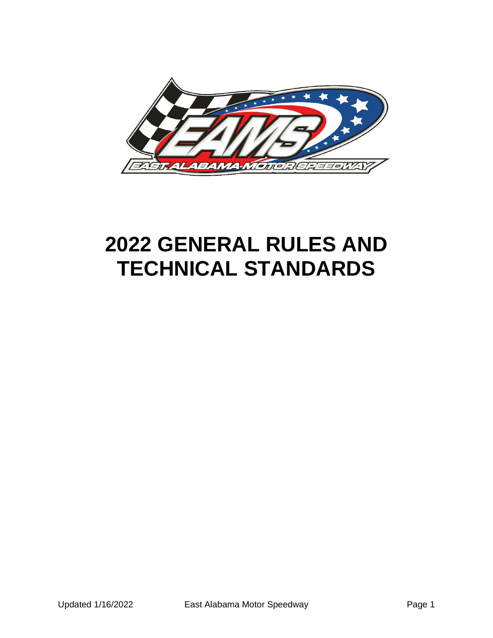

# **2022 GENERAL RULES AND TECHNICAL STANDARDS**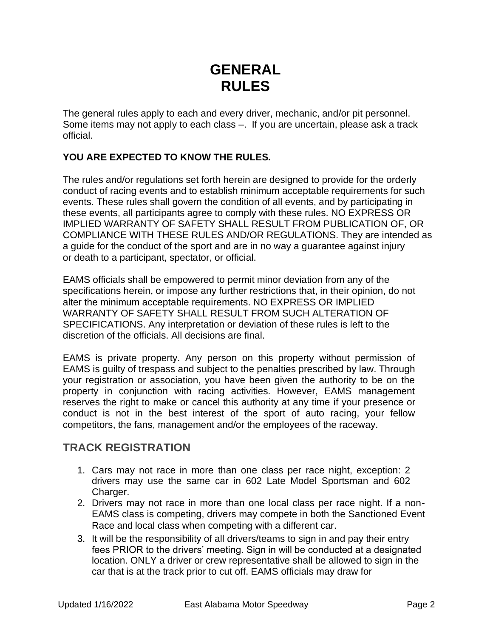# **GENERAL RULES**

The general rules apply to each and every driver, mechanic, and/or pit personnel. Some items may not apply to each class –. If you are uncertain, please ask a track official.

#### **YOU ARE EXPECTED TO KNOW THE RULES.**

The rules and/or regulations set forth herein are designed to provide for the orderly conduct of racing events and to establish minimum acceptable requirements for such events. These rules shall govern the condition of all events, and by participating in these events, all participants agree to comply with these rules. NO EXPRESS OR IMPLIED WARRANTY OF SAFETY SHALL RESULT FROM PUBLICATION OF, OR COMPLIANCE WITH THESE RULES AND/OR REGULATIONS. They are intended as a guide for the conduct of the sport and are in no way a guarantee against injury or death to a participant, spectator, or official.

EAMS officials shall be empowered to permit minor deviation from any of the specifications herein, or impose any further restrictions that, in their opinion, do not alter the minimum acceptable requirements. NO EXPRESS OR IMPLIED WARRANTY OF SAFETY SHALL RESULT FROM SUCH ALTERATION OF SPECIFICATIONS. Any interpretation or deviation of these rules is left to the discretion of the officials. All decisions are final.

EAMS is private property. Any person on this property without permission of EAMS is guilty of trespass and subject to the penalties prescribed by law. Through your registration or association, you have been given the authority to be on the property in conjunction with racing activities. However, EAMS management reserves the right to make or cancel this authority at any time if your presence or conduct is not in the best interest of the sport of auto racing, your fellow competitors, the fans, management and/or the employees of the raceway.

# **TRACK REGISTRATION**

- 1. Cars may not race in more than one class per race night, exception: 2 drivers may use the same car in 602 Late Model Sportsman and 602 Charger.
- 2. Drivers may not race in more than one local class per race night. If a non-EAMS class is competing, drivers may compete in both the Sanctioned Event Race and local class when competing with a different car.
- 3. It will be the responsibility of all drivers/teams to sign in and pay their entry fees PRIOR to the drivers' meeting. Sign in will be conducted at a designated location. ONLY a driver or crew representative shall be allowed to sign in the car that is at the track prior to cut off. EAMS officials may draw for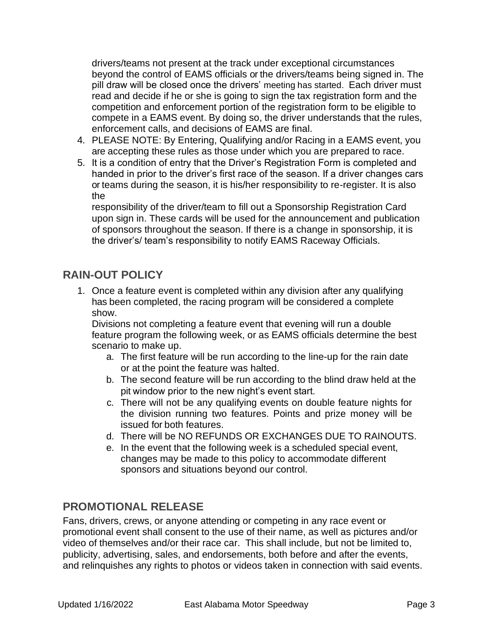drivers/teams not present at the track under exceptional circumstances beyond the control of EAMS officials or the drivers/teams being signed in. The pill draw will be closed once the drivers' meeting has started. Each driver must read and decide if he or she is going to sign the tax registration form and the competition and enforcement portion of the registration form to be eligible to compete in a EAMS event. By doing so, the driver understands that the rules, enforcement calls, and decisions of EAMS are final.

- 4. PLEASE NOTE: By Entering, Qualifying and/or Racing in a EAMS event, you are accepting these rules as those under which you are prepared to race.
- 5. It is a condition of entry that the Driver's Registration Form is completed and handed in prior to the driver's first race of the season. If a driver changes cars or teams during the season, it is his/her responsibility to re-register. It is also the

responsibility of the driver/team to fill out a Sponsorship Registration Card upon sign in. These cards will be used for the announcement and publication of sponsors throughout the season. If there is a change in sponsorship, it is the driver's/ team's responsibility to notify EAMS Raceway Officials.

# **RAIN-OUT POLICY**

1. Once a feature event is completed within any division after any qualifying has been completed, the racing program will be considered a complete show.

Divisions not completing a feature event that evening will run a double feature program the following week, or as EAMS officials determine the best scenario to make up.

- a. The first feature will be run according to the line-up for the rain date or at the point the feature was halted.
- b. The second feature will be run according to the blind draw held at the pit window prior to the new night's event start.
- c. There will not be any qualifying events on double feature nights for the division running two features. Points and prize money will be issued for both features.
- d. There will be NO REFUNDS OR EXCHANGES DUE TO RAINOUTS.
- e. In the event that the following week is a scheduled special event, changes may be made to this policy to accommodate different sponsors and situations beyond our control.

# **PROMOTIONAL RELEASE**

Fans, drivers, crews, or anyone attending or competing in any race event or promotional event shall consent to the use of their name, as well as pictures and/or video of themselves and/or their race car. This shall include, but not be limited to, publicity, advertising, sales, and endorsements, both before and after the events, and relinquishes any rights to photos or videos taken in connection with said events.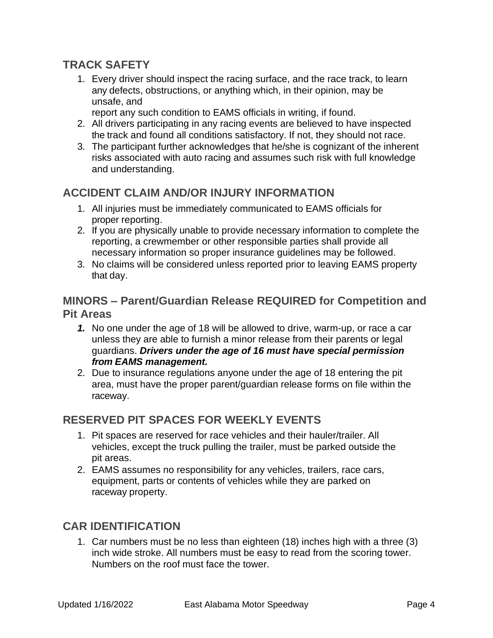# **TRACK SAFETY**

- 1. Every driver should inspect the racing surface, and the race track, to learn any defects, obstructions, or anything which, in their opinion, may be unsafe, and
	- report any such condition to EAMS officials in writing, if found.
- 2. All drivers participating in any racing events are believed to have inspected the track and found all conditions satisfactory. If not, they should not race.
- 3. The participant further acknowledges that he/she is cognizant of the inherent risks associated with auto racing and assumes such risk with full knowledge and understanding.

# **ACCIDENT CLAIM AND/OR INJURY INFORMATION**

- 1. All injuries must be immediately communicated to EAMS officials for proper reporting.
- 2. If you are physically unable to provide necessary information to complete the reporting, a crewmember or other responsible parties shall provide all necessary information so proper insurance guidelines may be followed.
- 3. No claims will be considered unless reported prior to leaving EAMS property that day.

# **MINORS – Parent/Guardian Release REQUIRED for Competition and Pit Areas**

- *1.* No one under the age of 18 will be allowed to drive, warm-up, or race a car unless they are able to furnish a minor release from their parents or legal guardians. *Drivers under the age of 16 must have special permission from EAMS management.*
- 2. Due to insurance regulations anyone under the age of 18 entering the pit area, must have the proper parent/guardian release forms on file within the raceway.

# **RESERVED PIT SPACES FOR WEEKLY EVENTS**

- 1. Pit spaces are reserved for race vehicles and their hauler/trailer. All vehicles, except the truck pulling the trailer, must be parked outside the pit areas.
- 2. EAMS assumes no responsibility for any vehicles, trailers, race cars, equipment, parts or contents of vehicles while they are parked on raceway property.

# **CAR IDENTIFICATION**

1. Car numbers must be no less than eighteen (18) inches high with a three (3) inch wide stroke. All numbers must be easy to read from the scoring tower. Numbers on the roof must face the tower.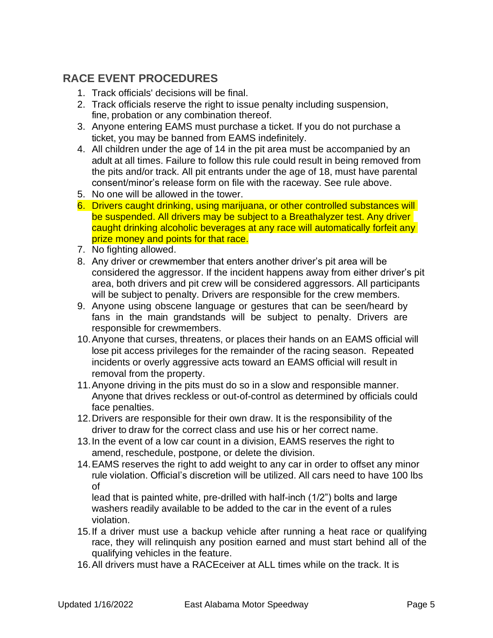# **RACE EVENT PROCEDURES**

- 1. Track officials' decisions will be final.
- 2. Track officials reserve the right to issue penalty including suspension, fine, probation or any combination thereof.
- 3. Anyone entering EAMS must purchase a ticket. If you do not purchase a ticket, you may be banned from EAMS indefinitely.
- 4. All children under the age of 14 in the pit area must be accompanied by an adult at all times. Failure to follow this rule could result in being removed from the pits and/or track. All pit entrants under the age of 18, must have parental consent/minor's release form on file with the raceway. See rule above.
- 5. No one will be allowed in the tower.
- 6. Drivers caught drinking, using marijuana, or other controlled substances will be suspended. All drivers may be subject to a Breathalyzer test. Any driver caught drinking alcoholic beverages at any race will automatically forfeit any prize money and points for that race.
- 7. No fighting allowed.
- 8. Any driver or crewmember that enters another driver's pit area will be considered the aggressor. If the incident happens away from either driver's pit area, both drivers and pit crew will be considered aggressors. All participants will be subject to penalty. Drivers are responsible for the crew members.
- 9. Anyone using obscene language or gestures that can be seen/heard by fans in the main grandstands will be subject to penalty. Drivers are responsible for crewmembers.
- 10.Anyone that curses, threatens, or places their hands on an EAMS official will lose pit access privileges for the remainder of the racing season. Repeated incidents or overly aggressive acts toward an EAMS official will result in removal from the property.
- 11.Anyone driving in the pits must do so in a slow and responsible manner. Anyone that drives reckless or out-of-control as determined by officials could face penalties.
- 12.Drivers are responsible for their own draw. It is the responsibility of the driver to draw for the correct class and use his or her correct name.
- 13.In the event of a low car count in a division, EAMS reserves the right to amend, reschedule, postpone, or delete the division.
- 14.EAMS reserves the right to add weight to any car in order to offset any minor rule violation. Official's discretion will be utilized. All cars need to have 100 lbs of

lead that is painted white, pre-drilled with half-inch (1/2") bolts and large washers readily available to be added to the car in the event of a rules violation.

- 15.If a driver must use a backup vehicle after running a heat race or qualifying race, they will relinquish any position earned and must start behind all of the qualifying vehicles in the feature.
- 16.All drivers must have a RACEceiver at ALL times while on the track. It is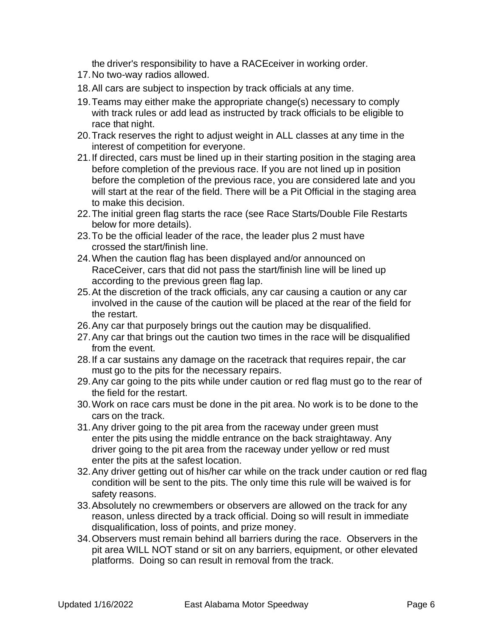the driver's responsibility to have a RACEceiver in working order.

- 17.No two-way radios allowed.
- 18.All cars are subject to inspection by track officials at any time.
- 19.Teams may either make the appropriate change(s) necessary to comply with track rules or add lead as instructed by track officials to be eligible to race that night.
- 20.Track reserves the right to adjust weight in ALL classes at any time in the interest of competition for everyone.
- 21.If directed, cars must be lined up in their starting position in the staging area before completion of the previous race. If you are not lined up in position before the completion of the previous race, you are considered late and you will start at the rear of the field. There will be a Pit Official in the staging area to make this decision.
- 22.The initial green flag starts the race (see Race Starts/Double File Restarts below for more details).
- 23.To be the official leader of the race, the leader plus 2 must have crossed the start/finish line.
- 24.When the caution flag has been displayed and/or announced on RaceCeiver, cars that did not pass the start/finish line will be lined up according to the previous green flag lap.
- 25.At the discretion of the track officials, any car causing a caution or any car involved in the cause of the caution will be placed at the rear of the field for the restart.
- 26.Any car that purposely brings out the caution may be disqualified.
- 27.Any car that brings out the caution two times in the race will be disqualified from the event.
- 28.If a car sustains any damage on the racetrack that requires repair, the car must go to the pits for the necessary repairs.
- 29.Any car going to the pits while under caution or red flag must go to the rear of the field for the restart.
- 30.Work on race cars must be done in the pit area. No work is to be done to the cars on the track.
- 31.Any driver going to the pit area from the raceway under green must enter the pits using the middle entrance on the back straightaway. Any driver going to the pit area from the raceway under yellow or red must enter the pits at the safest location.
- 32.Any driver getting out of his/her car while on the track under caution or red flag condition will be sent to the pits. The only time this rule will be waived is for safety reasons.
- 33.Absolutely no crewmembers or observers are allowed on the track for any reason, unless directed by a track official. Doing so will result in immediate disqualification, loss of points, and prize money.
- 34.Observers must remain behind all barriers during the race. Observers in the pit area WILL NOT stand or sit on any barriers, equipment, or other elevated platforms. Doing so can result in removal from the track.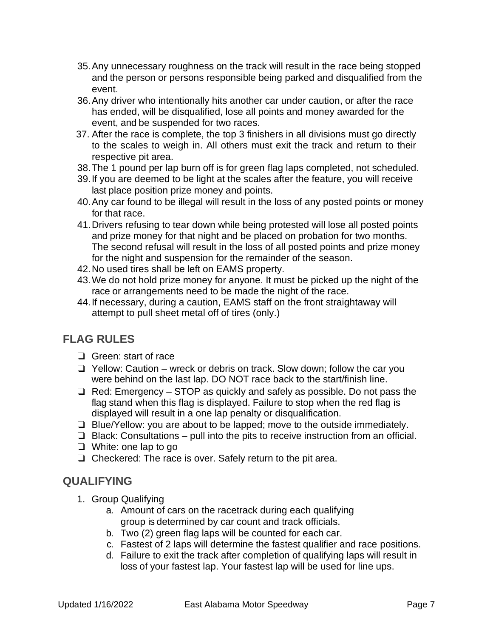- 35.Any unnecessary roughness on the track will result in the race being stopped and the person or persons responsible being parked and disqualified from the event.
- 36.Any driver who intentionally hits another car under caution, or after the race has ended, will be disqualified, lose all points and money awarded for the event, and be suspended for two races.
- 37. After the race is complete, the top 3 finishers in all divisions must go directly to the scales to weigh in. All others must exit the track and return to their respective pit area.
- 38.The 1 pound per lap burn off is for green flag laps completed, not scheduled.
- 39.If you are deemed to be light at the scales after the feature, you will receive last place position prize money and points.
- 40.Any car found to be illegal will result in the loss of any posted points or money for that race.
- 41.Drivers refusing to tear down while being protested will lose all posted points and prize money for that night and be placed on probation for two months. The second refusal will result in the loss of all posted points and prize money for the night and suspension for the remainder of the season.
- 42.No used tires shall be left on EAMS property.
- 43.We do not hold prize money for anyone. It must be picked up the night of the race or arrangements need to be made the night of the race.
- 44.If necessary, during a caution, EAMS staff on the front straightaway will attempt to pull sheet metal off of tires (only.)

# **FLAG RULES**

- ❏ Green: start of race
- ❏ Yellow: Caution wreck or debris on track. Slow down; follow the car you were behind on the last lap. DO NOT race back to the start/finish line.
- ❏ Red: Emergency STOP as quickly and safely as possible. Do not pass the flag stand when this flag is displayed. Failure to stop when the red flag is displayed will result in a one lap penalty or disqualification.
- ❏ Blue/Yellow: you are about to be lapped; move to the outside immediately.
- ❏ Black: Consultations pull into the pits to receive instruction from an official.
- ❏ White: one lap to go
- ❏ Checkered: The race is over. Safely return to the pit area.

# **QUALIFYING**

- 1. Group Qualifying
	- a. Amount of cars on the racetrack during each qualifying group is determined by car count and track officials.
	- b. Two (2) green flag laps will be counted for each car.
	- c. Fastest of 2 laps will determine the fastest qualifier and race positions.
	- d. Failure to exit the track after completion of qualifying laps will result in loss of your fastest lap. Your fastest lap will be used for line ups.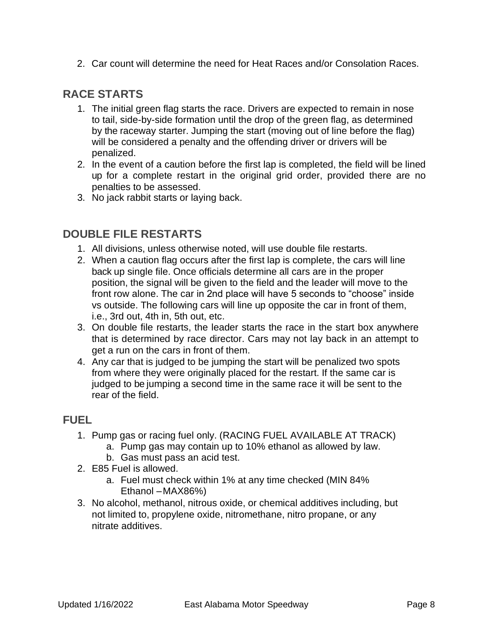2. Car count will determine the need for Heat Races and/or Consolation Races.

# **RACE STARTS**

- 1. The initial green flag starts the race. Drivers are expected to remain in nose to tail, side-by-side formation until the drop of the green flag, as determined by the raceway starter. Jumping the start (moving out of line before the flag) will be considered a penalty and the offending driver or drivers will be penalized.
- 2. In the event of a caution before the first lap is completed, the field will be lined up for a complete restart in the original grid order, provided there are no penalties to be assessed.
- 3. No jack rabbit starts or laying back.

# **DOUBLE FILE RESTARTS**

- 1. All divisions, unless otherwise noted, will use double file restarts.
- 2. When a caution flag occurs after the first lap is complete, the cars will line back up single file. Once officials determine all cars are in the proper position, the signal will be given to the field and the leader will move to the front row alone. The car in 2nd place will have 5 seconds to "choose" inside vs outside. The following cars will line up opposite the car in front of them, i.e., 3rd out, 4th in, 5th out, etc.
- 3. On double file restarts, the leader starts the race in the start box anywhere that is determined by race director. Cars may not lay back in an attempt to get a run on the cars in front of them.
- 4. Any car that is judged to be jumping the start will be penalized two spots from where they were originally placed for the restart. If the same car is judged to be jumping a second time in the same race it will be sent to the rear of the field.

#### **FUEL**

- 1. Pump gas or racing fuel only. (RACING FUEL AVAILABLE AT TRACK)
	- a. Pump gas may contain up to 10% ethanol as allowed by law.
	- b. Gas must pass an acid test.
- 2. E85 Fuel is allowed.
	- a. Fuel must check within 1% at any time checked (MIN 84% Ethanol –MAX86%)
- 3. No alcohol, methanol, nitrous oxide, or chemical additives including, but not limited to, propylene oxide, nitromethane, nitro propane, or any nitrate additives.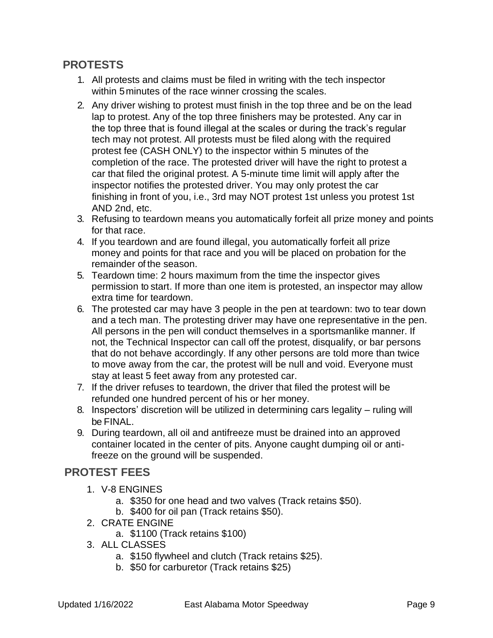#### **PROTESTS**

- 1. All protests and claims must be filed in writing with the tech inspector within 5 minutes of the race winner crossing the scales.
- 2. Any driver wishing to protest must finish in the top three and be on the lead lap to protest. Any of the top three finishers may be protested. Any car in the top three that is found illegal at the scales or during the track's regular tech may not protest. All protests must be filed along with the required protest fee (CASH ONLY) to the inspector within 5 minutes of the completion of the race. The protested driver will have the right to protest a car that filed the original protest. A 5-minute time limit will apply after the inspector notifies the protested driver. You may only protest the car finishing in front of you, i.e., 3rd may NOT protest 1st unless you protest 1st AND 2nd, etc.
- 3. Refusing to teardown means you automatically forfeit all prize money and points for that race.
- 4. If you teardown and are found illegal, you automatically forfeit all prize money and points for that race and you will be placed on probation for the remainder of the season.
- 5. Teardown time: 2 hours maximum from the time the inspector gives permission to start. If more than one item is protested, an inspector may allow extra time for teardown.
- 6. The protested car may have 3 people in the pen at teardown: two to tear down and a tech man. The protesting driver may have one representative in the pen. All persons in the pen will conduct themselves in a sportsmanlike manner. If not, the Technical Inspector can call off the protest, disqualify, or bar persons that do not behave accordingly. If any other persons are told more than twice to move away from the car, the protest will be null and void. Everyone must stay at least 5 feet away from any protested car.
- 7. If the driver refuses to teardown, the driver that filed the protest will be refunded one hundred percent of his or her money.
- 8. Inspectors' discretion will be utilized in determining cars legality ruling will be FINAL.
- 9. During teardown, all oil and antifreeze must be drained into an approved container located in the center of pits. Anyone caught dumping oil or antifreeze on the ground will be suspended.

#### **PROTEST FEES**

- 1. V-8 ENGINES
	- a. \$350 for one head and two valves (Track retains \$50).
	- b. \$400 for oil pan (Track retains \$50).
- 2. CRATE ENGINE
	- a. \$1100 (Track retains \$100)
- 3. ALL CLASSES
	- a. \$150 flywheel and clutch (Track retains \$25).
	- b. \$50 for carburetor (Track retains \$25)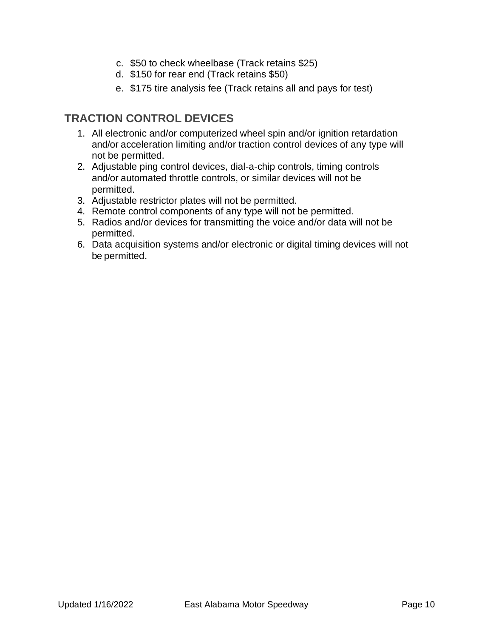- c. \$50 to check wheelbase (Track retains \$25)
- d. \$150 for rear end (Track retains \$50)
- e. \$175 tire analysis fee (Track retains all and pays for test)

# **TRACTION CONTROL DEVICES**

- 1. All electronic and/or computerized wheel spin and/or ignition retardation and/or acceleration limiting and/or traction control devices of any type will not be permitted.
- 2. Adjustable ping control devices, dial-a-chip controls, timing controls and/or automated throttle controls, or similar devices will not be permitted.
- 3. Adjustable restrictor plates will not be permitted.
- 4. Remote control components of any type will not be permitted.
- 5. Radios and/or devices for transmitting the voice and/or data will not be permitted.
- 6. Data acquisition systems and/or electronic or digital timing devices will not be permitted.